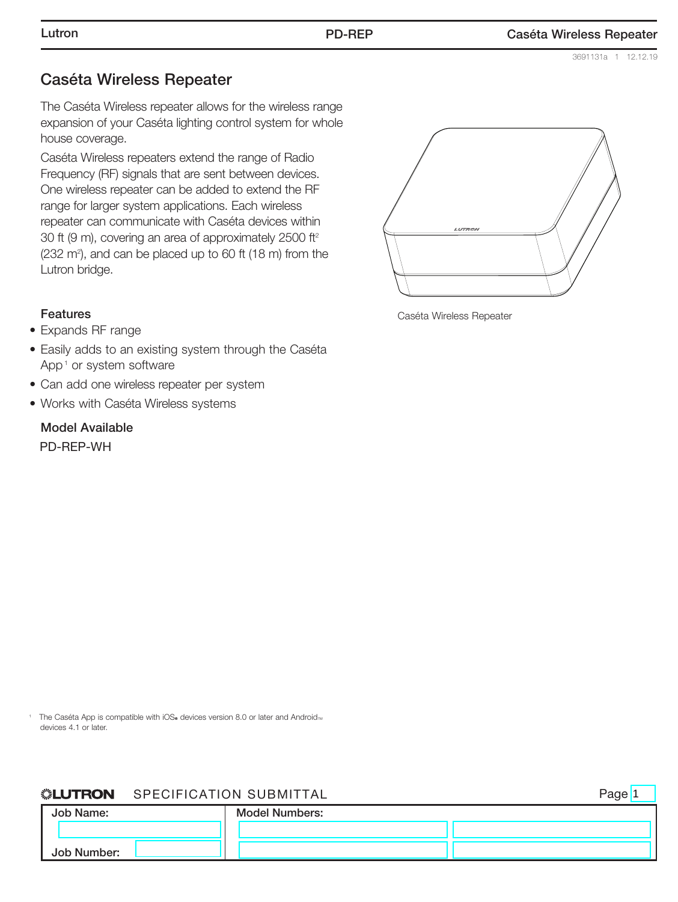3691131a 1 12.12.19

Page<sup>1</sup>

#### Caséta Wireless Repeater

The Caséta Wireless repeater allows for the wireless range expansion of your Caséta lighting control system for whole house coverage.

Caséta Wireless repeaters extend the range of Radio Frequency (RF) signals that are sent between devices. One wireless repeater can be added to extend the RF range for larger system applications. Each wireless repeater can communicate with Caséta devices within 30 ft (9 m), covering an area of approximately 2500 ft2  $(232 \text{ m}^2)$ , and can be placed up to 60 ft  $(18 \text{ m})$  from the Lutron bridge.

#### Features

- Expands RF range
- Easily adds to an existing system through the Caséta App<sup>1</sup> or system software
- Can add one wireless repeater per system
- Works with Caséta Wireless systems

#### Model Available

PD-REP-WH



Caséta Wireless Repeater

<sup>1</sup> The Caséta App is compatible with iOS<sub>®</sub> devices version 8.0 or later and Android<sub>™</sub> devices 4.1 or later.

#### **SLUTRON** SPECIFICATION SUBMITTAL

Job Name: Job Number: Model Numbers: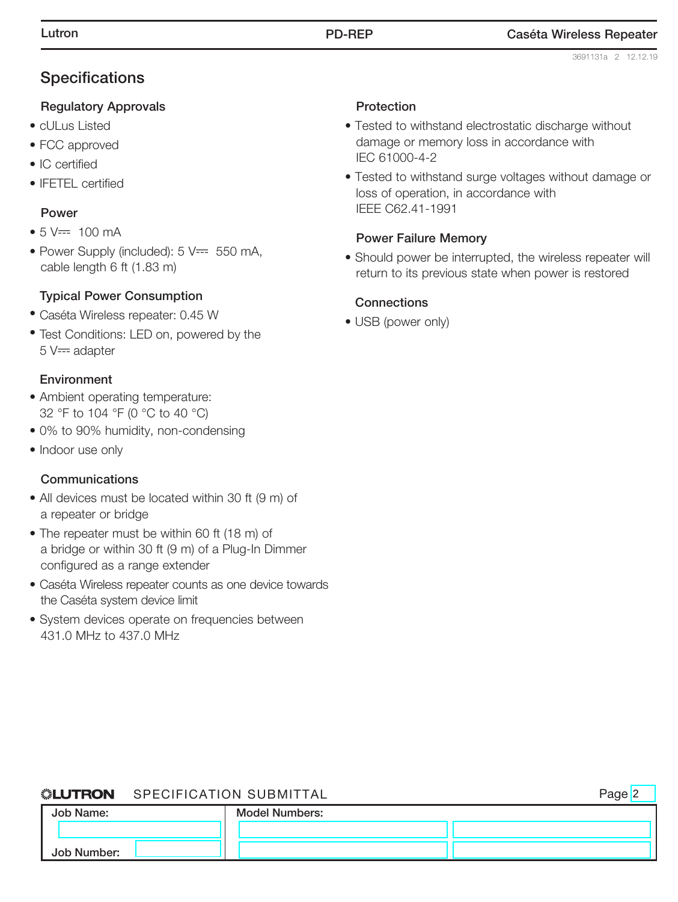# **Specifications**

#### Regulatory Approvals

- cULus Listed
- FCC approved
- IC certified
- IFETEL certified

### Power

- $5 V = 100 mA$
- Power Supply (included):  $5V == 550$  mA, cable length 6 ft (1.83 m)

## Typical Power Consumption

- Caséta Wireless repeater: 0.45 W
- Test Conditions: LED on, powered by the  $5 V =$  adapter

## Environment

- Ambient operating temperature: 32 °F to 104 °F (0 °C to 40 °C)
- 0% to 90% humidity, non-condensing
- Indoor use only

#### Communications

- All devices must be located within 30 ft (9 m) of a repeater or bridge
- The repeater must be within 60 ft (18 m) of a bridge or within 30 ft (9 m) of a Plug-In Dimmer configured as a range extender
- Caséta Wireless repeater counts as one device towards the Caséta system device limit
- System devices operate on frequencies between 431.0 MHz to 437.0 MHz

#### **Protection**

- Tested to withstand electrostatic discharge without damage or memory loss in accordance with IEC 61000-4-2
- Tested to withstand surge voltages without damage or loss of operation, in accordance with IEEE C62.41-1991

## Power Failure Memory

• Should power be interrupted, the wireless repeater will return to its previous state when power is restored

#### **Connections**

• USB (power only)

#### **SLUTRON** SPECIFICATION SUBMITTAL

|             | <b>NEUTRON</b> SPECIFICATION SUBMITTAL |                |  |
|-------------|----------------------------------------|----------------|--|
| Job Name:   |                                        | Model Numbers: |  |
|             |                                        |                |  |
| Job Number: |                                        |                |  |

#### Lutron PD-REP Caséta Wireless Repeater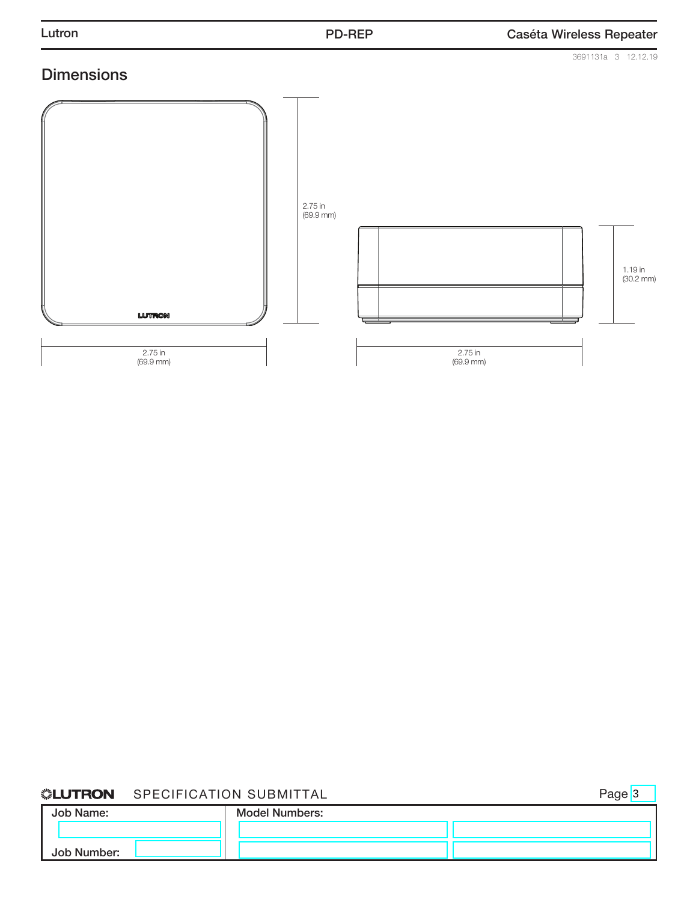

#### *SLUTRON* SPECIFICATION SUBMITTAL

Page<sup>3</sup>

| Job Name:   | <b>Model Numbers:</b> |  |
|-------------|-----------------------|--|
|             |                       |  |
| Job Number: |                       |  |